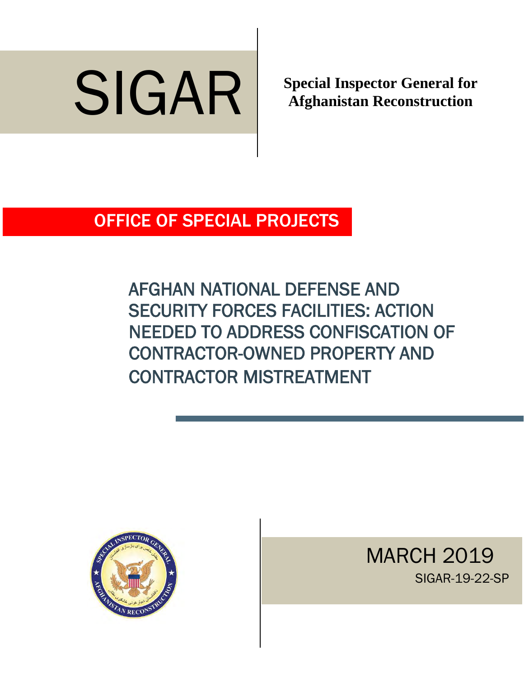

**Afghanistan Reconstruction**

OFFICE OF SPECIAL PROJECTS

AFGHAN NATIONAL DEFENSE AND SECURITY FORCES FACILITIES: ACTION NEEDED TO ADDRESS CONFISCATION OF CONTRACTOR-OWNED PROPERTY AND CONTRACTOR MISTREATMENT



MARCH 2019<br>SIGAR-19-22-SP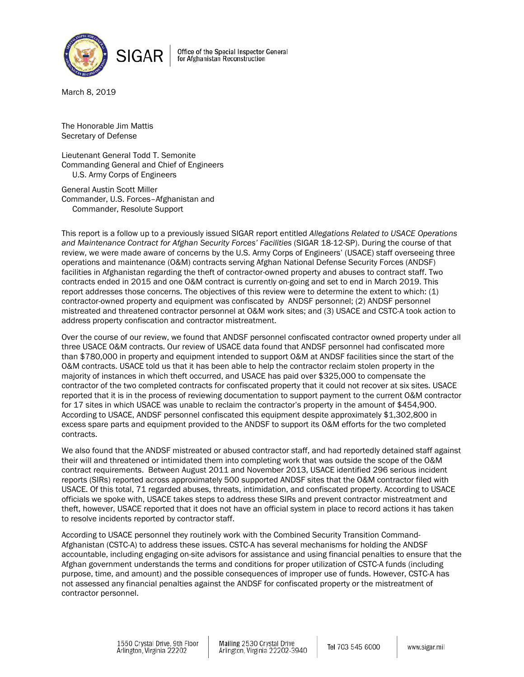

Office of the Special Inspector General for Afghanistan Reconstruction

March 8, 2019

The Honorable [Jim Mattis](https://www.defense.gov/About/Biographies/Biography-View/Article/1055835/james-mattis/) Secretary of Defense

Lieutenant General [Todd T. Semonite](http://www.usace.army.mil/About/Leadership/Bio-Article-View/Article/776561/lieutenant-general-todd-t-semonite/) Commanding General and Chief of Engineers U.S. Army Corps of Engineers

General Austin Scott Miller Commander, U.S. Forces–Afghanistan and Commander, Resolute Support

This report is a follow up to a previously issued SIGAR report entitled *Allegations Related to USACE Operations and Maintenance Contract for Afghan Security Forces' Facilities* (SIGAR 18-12-SP). During the course of that review, we were made aware of concerns by the U.S. Army Corps of Engineers' (USACE) staff overseeing three operations and maintenance (O&M) contracts serving Afghan National Defense Security Forces (ANDSF) facilities in Afghanistan regarding the theft of contractor-owned property and abuses to contract staff. Two contracts ended in 2015 and one O&M contract is currently on-going and set to end in March 2019. This report addresses those concerns. The objectives of this review were to determine the extent to which: (1) contractor-owned property and equipment was confiscated by ANDSF personnel; (2) ANDSF personnel mistreated and threatened contractor personnel at O&M work sites; and (3) USACE and CSTC-A took action to address property confiscation and contractor mistreatment.

Over the course of our review, we found that ANDSF personnel confiscated contractor owned property under all three USACE O&M contracts. Our review of USACE data found that ANDSF personnel had confiscated more than \$780,000 in property and equipment intended to support O&M at ANDSF facilities since the start of the O&M contracts. USACE told us that it has been able to help the contractor reclaim stolen property in the majority of instances in which theft occurred, and USACE has paid over \$325,000 to compensate the contractor of the two completed contracts for confiscated property that it could not recover at six sites. USACE reported that it is in the process of reviewing documentation to support payment to the current O&M contractor for 17 sites in which USACE was unable to reclaim the contractor's property in the amount of \$454,900. According to USACE, ANDSF personnel confiscated this equipment despite approximately \$1,302,800 in excess spare parts and equipment provided to the ANDSF to support its O&M efforts for the two completed contracts.

We also found that the ANDSF mistreated or abused contractor staff, and had reportedly detained staff against their will and threatened or intimidated them into completing work that was outside the scope of the O&M contract requirements. Between August 2011 and November 2013, USACE identified 296 serious incident reports (SIRs) reported across approximately 500 supported ANDSF sites that the O&M contractor filed with USACE. Of this total, 71 regarded abuses, threats, intimidation, and confiscated property. According to USACE officials we spoke with, USACE takes steps to address these SIRs and prevent contractor mistreatment and theft, however, USACE reported that it does not have an official system in place to record actions it has taken to resolve incidents reported by contractor staff.

According to USACE personnel they routinely work with the Combined Security Transition Command-Afghanistan (CSTC-A) to address these issues. CSTC-A has several mechanisms for holding the ANDSF accountable, including engaging on-site advisors for assistance and using financial penalties to ensure that the Afghan government understands the terms and conditions for proper utilization of CSTC-A funds (including purpose, time, and amount) and the possible consequences of improper use of funds. However, CSTC-A has not assessed any financial penalties against the ANDSF for confiscated property or the mistreatment of contractor personnel.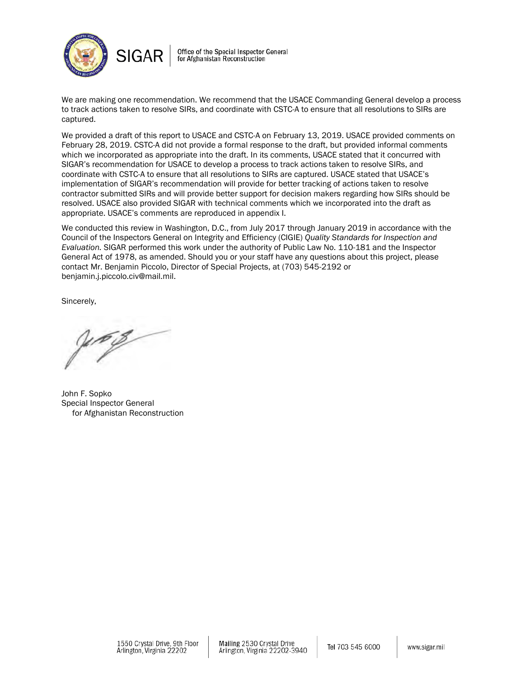

Office of the Special Inspector General for Afghanistan Reconstruction

We are making one recommendation. We recommend that the USACE Commanding General develop a process to track actions taken to resolve SIRs, and coordinate with CSTC-A to ensure that all resolutions to SIRs are captured.

We provided a draft of this report to USACE and CSTC-A on February 13, 2019. USACE provided comments on February 28, 2019. CSTC-A did not provide a formal response to the draft, but provided informal comments which we incorporated as appropriate into the draft. In its comments, USACE stated that it concurred with SIGAR's recommendation for USACE to develop a process to track actions taken to resolve SIRs, and coordinate with CSTC-A to ensure that all resolutions to SIRs are captured. USACE stated that USACE's implementation of SIGAR's recommendation will provide for better tracking of actions taken to resolve contractor submitted SIRs and will provide better support for decision makers regarding how SIRs should be resolved. USACE also provided SIGAR with technical comments which we incorporated into the draft as appropriate. USACE's comments are reproduced in appendix I.

We conducted this review in Washington, D.C., from July 2017 through January 2019 in accordance with the Council of the Inspectors General on Integrity and Efficiency (CIGIE) *Quality Standards for Inspection and Evaluation.* SIGAR performed this work under the authority of Public Law No. 110-181 and the Inspector General Act of 1978, as amended. Should you or your staff have any questions about this project, please contact Mr. Benjamin Piccolo, Director of Special Projects, at (703) 545-2192 or benjamin.j.piccolo.civ@mail.mil.

Sincerely,

John F. Sopko Special Inspector General for Afghanistan Reconstruction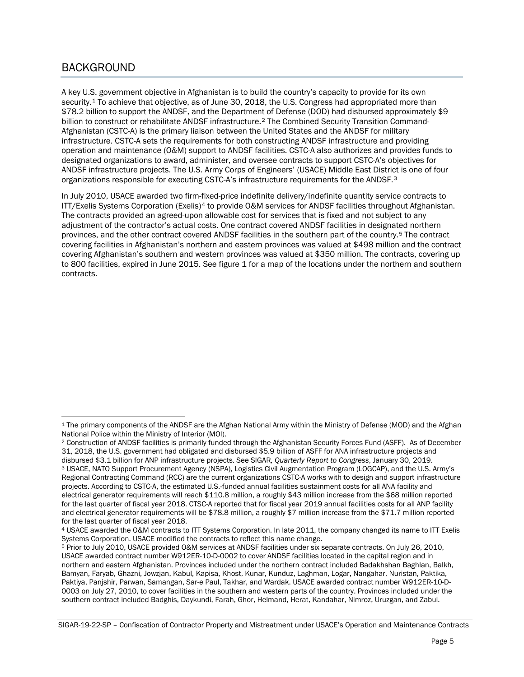## BACKGROUND

A key U.S. government objective in Afghanistan is to build the country's capacity to provide for its own security.<sup>[1](#page-3-0)</sup> To achieve that objective, as of June 30, 2018, the U.S. Congress had appropriated more than \$78.2 billion to support the ANDSF, and the Department of Defense (DOD) had disbursed approximately \$9 billion to construct or rehabilitate ANDSF infrastructure.[2](#page-3-1) The Combined Security Transition Command-Afghanistan (CSTC-A) is the primary liaison between the United States and the ANDSF for military infrastructure. CSTC-A sets the requirements for both constructing ANDSF infrastructure and providing operation and maintenance (O&M) support to ANDSF facilities. CSTC-A also authorizes and provides funds to designated organizations to award, administer, and oversee contracts to support CSTC-A's objectives for ANDSF infrastructure projects. The U.S. Army Corps of Engineers' (USACE) Middle East District is one of four organizations responsible for executing CSTC-A's infrastructure requirements for the ANDSF.[3](#page-3-2)

In July 2010, USACE awarded two firm-fixed-price indefinite delivery/indefinite quantity service contracts to ITT/Exelis Systems Corporation (Exelis)<sup>[4](#page-3-3)</sup> to provide O&M services for ANDSF facilities throughout Afghanistan. The contracts provided an agreed-upon allowable cost for services that is fixed and not subject to any adjustment of the contractor's actual costs. One contract covered ANDSF facilities in designated northern provinces, and the other contract covered ANDSF facilities in the southern part of the country.[5](#page-3-4) The contract covering facilities in Afghanistan's northern and eastern provinces was valued at \$498 million and the contract covering Afghanistan's southern and western provinces was valued at \$350 million. The contracts, covering up to 800 facilities, expired in June 2015. See figure 1 for a map of the locations under the northern and southern contracts.

<span id="page-3-0"></span> $\overline{\phantom{a}}$ <sup>1</sup> The primary components of the ANDSF are the Afghan National Army within the Ministry of Defense (MOD) and the Afghan National Police within the Ministry of Interior (MOI).

<span id="page-3-1"></span><sup>2</sup> Construction of ANDSF facilities is primarily funded through the Afghanistan Security Forces Fund (ASFF). As of December 31, 2018, the U.S. government had obligated and disbursed \$5.9 billion of ASFF for ANA infrastructure projects and<br>disbursed \$3.1 billion for ANP infrastructure projects. See SIGAR, Quarterly Report to Congress, January 30

<span id="page-3-2"></span><sup>&</sup>lt;sup>3</sup> USACE, NATO Support Procurement Agency (NSPA), Logistics Civil Augmentation Program (LOGCAP), and the U.S. Army's Regional Contracting Command (RCC) are the current organizations CSTC-A works with to design and support infrastructure projects. According to CSTC-A, the estimated U.S.-funded annual facilities sustainment costs for all ANA facility and electrical generator requirements will reach \$110.8 million, a roughly \$43 million increase from the \$68 million reported for the last quarter of fiscal year 2018. CTSC-A reported that for fiscal year 2019 annual facilities costs for all ANP facility and electrical generator requirements will be \$78.8 million, a roughly \$7 million increase from the \$71.7 million reported for the last quarter of fiscal year 2018.

<span id="page-3-3"></span><sup>4</sup> USACE awarded the O&M contracts to ITT Systems Corporation. In late 2011, the company changed its name to ITT Exelis Systems Corporation. USACE modified the contracts to reflect this name change.

<span id="page-3-4"></span><sup>5</sup> Prior to July 2010, USACE provided O&M services at ANDSF facilities under six separate contracts. On July 26, 2010, USACE awarded contract number W912ER-10-D-0002 to cover ANDSF facilities located in the capital region and in northern and eastern Afghanistan. Provinces included under the northern contract included Badakhshan Baghlan, Balkh, Bamyan, Faryab, Ghazni, Jowzjan, Kabul, Kapisa, Khost, Kunar, Kunduz, Laghman, Logar, Nangahar, Nuristan, Paktika, Paktiya, Panjshir, Parwan, Samangan, Sar-e Paul, Takhar, and Wardak. USACE awarded contract number W912ER-10-D-0003 on July 27, 2010, to cover facilities in the southern and western parts of the country. Provinces included under the southern contract included Badghis, Daykundi, Farah, Ghor, Helmand, Herat, Kandahar, Nimroz, Uruzgan, and Zabul.

SIGAR-19-22-SP – Confiscation of Contractor Property and Mistreatment under USACE's Operation and Maintenance Contracts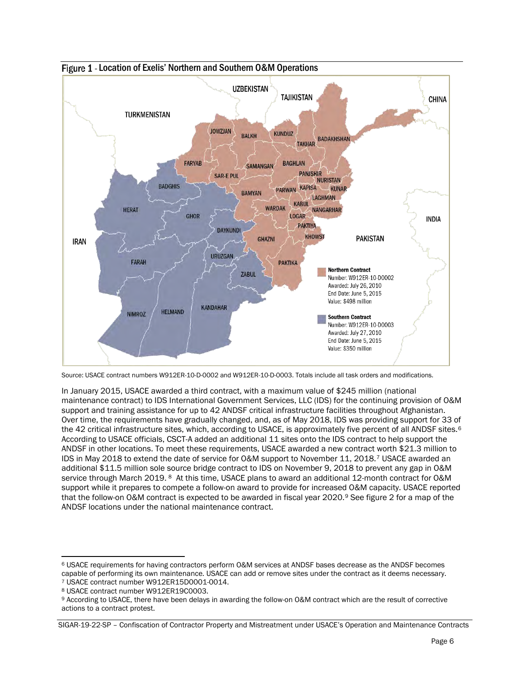

Figure 1 - Location of Exelis' Northern and Southern O&M Operations

In January 2015, USACE awarded a third contract, with a maximum value of \$245 million (national maintenance contract) to IDS International Government Services, LLC (IDS) for the continuing provision of O&M support and training assistance for up to 42 ANDSF critical infrastructure facilities throughout Afghanistan. Over time, the requirements have gradually changed, and, as of May 2018, IDS was providing support for 33 of the 42 critical infrastructure sites, which, according to USACE, is approximately five percent of all ANDSF sites.<sup>[6](#page-4-0)</sup> According to USACE officials, CSCT-A added an additional 11 sites onto the IDS contract to help support the ANDSF in other locations. To meet these requirements, USACE awarded a new contract worth \$21.3 million to IDS in May 2018 to extend the date of service for O&M support to November 11, 2018.<sup>[7](#page-4-1)</sup> USACE awarded an additional \$11.5 million sole source bridge contract to IDS on November 9, 2018 to prevent any gap in O&M service through March 2019. <sup>8</sup> At this time, USACE plans to award an additional 12-month contract for O&M support while it prepares to compete a follow-on award to provide for increased O&M capacity. USACE reported that the follow-on O&M contract is expected to be awarded in fiscal year 2020.[9](#page-4-3) See figure 2 for a map of the ANDSF locations under the national maintenance contract.

Source: USACE contract numbers W912ER-10-D-0002 and W912ER-10-D-0003. Totals include all task orders and modifications.

<span id="page-4-0"></span>l  $\stackrel{\text{\normalsize{6}}}{ }$  USACE requirements for having contractors perform O&M services at ANDSF bases decrease as the ANDSF becomes capable of performing its own maintenance. USACE can add or remove sites under the contract as it deems necessary.<br>7 USACE contract number W912ER15D0001-0014.

<span id="page-4-3"></span><span id="page-4-2"></span><span id="page-4-1"></span><sup>&</sup>lt;sup>8</sup> USACE contract number W912ER19C0003.<br><sup>9</sup> According to USACE, there have been delays in awarding the follow-on O&M contract which are the result of corrective actions to a contract protest.

SIGAR-19-22-SP – Confiscation of Contractor Property and Mistreatment under USACE's Operation and Maintenance Contracts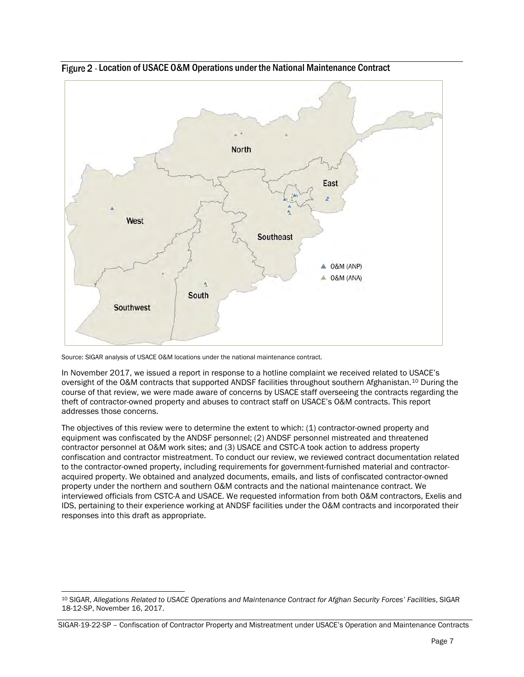

Figure 2 - Location of USACE O&M Operations under the National Maintenance Contract

Source: SIGAR analysis of USACE O&M locations under the national maintenance contract.

In November 2017, we issued a report in response to a hotline complaint we received related to USACE's oversight of the O&M contracts that supported ANDSF facilities throughout southern Afghanistan.<sup>[10](#page-5-0)</sup> During the course of that review, we were made aware of concerns by USACE staff overseeing the contracts regarding the theft of contractor-owned property and abuses to contract staff on USACE's O&M contracts. This report addresses those concerns.

The objectives of this review were to determine the extent to which: (1) contractor-owned property and equipment was confiscated by the ANDSF personnel; (2) ANDSF personnel mistreated and threatened contractor personnel at O&M work sites; and (3) USACE and CSTC-A took action to address property confiscation and contractor mistreatment. To conduct our review, we reviewed contract documentation related to the contractor-owned property, including requirements for government-furnished material and contractoracquired property. We obtained and analyzed documents, emails, and lists of confiscated contractor-owned property under the northern and southern O&M contracts and the national maintenance contract. We interviewed officials from CSTC-A and USACE. We requested information from both O&M contractors, Exelis and IDS, pertaining to their experience working at ANDSF facilities under the O&M contracts and incorporated their responses into this draft as appropriate.

<span id="page-5-0"></span>l <sup>10</sup> SIGAR, *Allegations Related to USACE Operations and Maintenance Contract for Afghan Security Forces' Facilities*, SIGAR 18-12-SP, November 16, 2017.

SIGAR-19-22-SP – Confiscation of Contractor Property and Mistreatment under USACE's Operation and Maintenance Contracts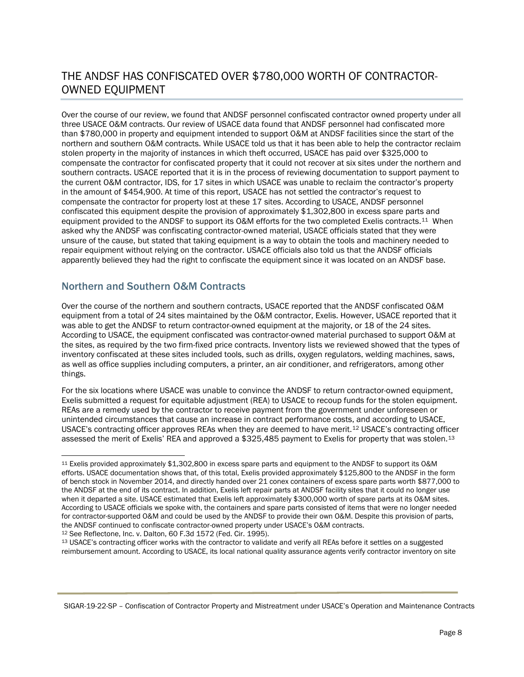## THE ANDSF HAS CONFISCATED OVER \$780,000 WORTH OF CONTRACTOR-OWNED EQUIPMENT

Over the course of our review, we found that ANDSF personnel confiscated contractor owned property under all three USACE O&M contracts. Our review of USACE data found that ANDSF personnel had confiscated more than \$780,000 in property and equipment intended to support O&M at ANDSF facilities since the start of the northern and southern O&M contracts. While USACE told us that it has been able to help the contractor reclaim stolen property in the majority of instances in which theft occurred, USACE has paid over \$325,000 to compensate the contractor for confiscated property that it could not recover at six sites under the northern and southern contracts. USACE reported that it is in the process of reviewing documentation to support payment to the current O&M contractor, IDS, for 17 sites in which USACE was unable to reclaim the contractor's property in the amount of \$454,900. At time of this report, USACE has not settled the contractor's request to compensate the contractor for property lost at these 17 sites. According to USACE, ANDSF personnel confiscated this equipment despite the provision of approximately \$1,302,800 in excess spare parts and equipment provided to the ANDSF to support its O&M efforts for the two completed Exelis contracts.[11](#page-6-0) When asked why the ANDSF was confiscating contractor-owned material, USACE officials stated that they were unsure of the cause, but stated that taking equipment is a way to obtain the tools and machinery needed to repair equipment without relying on the contractor. USACE officials also told us that the ANDSF officials apparently believed they had the right to confiscate the equipment since it was located on an ANDSF base.

### Northern and Southern O&M Contracts

Over the course of the northern and southern contracts, USACE reported that the ANDSF confiscated O&M equipment from a total of 24 sites maintained by the O&M contractor, Exelis. However, USACE reported that it was able to get the ANDSF to return contractor-owned equipment at the majority, or 18 of the 24 sites. According to USACE, the equipment confiscated was contractor-owned material purchased to support O&M at the sites, as required by the two firm-fixed price contracts. Inventory lists we reviewed showed that the types of inventory confiscated at these sites included tools, such as drills, oxygen regulators, welding machines, saws, as well as office supplies including computers, a printer, an air conditioner, and refrigerators, among other things.

For the six locations where USACE was unable to convince the ANDSF to return contractor-owned equipment, Exelis submitted a request for equitable adjustment (REA) to USACE to recoup funds for the stolen equipment. REAs are a remedy used by the contractor to receive payment from the government under unforeseen or unintended circumstances that cause an increase in contract performance costs, and according to USACE, USACE's contracting officer approves REAs when they are deemed to have merit.[12](#page-6-1) USACE's contracting officer assessed the merit of Exelis' REA and approved a \$325,485 payment to Exelis for property that was stolen.[13](#page-6-2)

<span id="page-6-1"></span><sup>12</sup> See Reflectone, Inc. v. Dalton, 60 F.3d 1572 (Fed. Cir. 1995).

<span id="page-6-2"></span><sup>13</sup> USACE's contracting officer works with the contractor to validate and verify all REAs before it settles on a suggested reimbursement amount. According to USACE, its local national quality assurance agents verify contractor inventory on site

<span id="page-6-0"></span> $\overline{\phantom{a}}$ <sup>11</sup> Exelis provided approximately \$1,302,800 in excess spare parts and equipment to the ANDSF to support its O&M efforts. USACE documentation shows that, of this total, Exelis provided approximately \$125,800 to the ANDSF in the form of bench stock in November 2014, and directly handed over 21 conex containers of excess spare parts worth \$877,000 to the ANDSF at the end of its contract. In addition, Exelis left repair parts at ANDSF facility sites that it could no longer use when it departed a site. USACE estimated that Exelis left approximately \$300,000 worth of spare parts at its O&M sites. According to USACE officials we spoke with, the containers and spare parts consisted of items that were no longer needed for contractor-supported O&M and could be used by the ANDSF to provide their own O&M. Despite this provision of parts, the ANDSF continued to confiscate contractor-owned property under USACE's O&M contracts.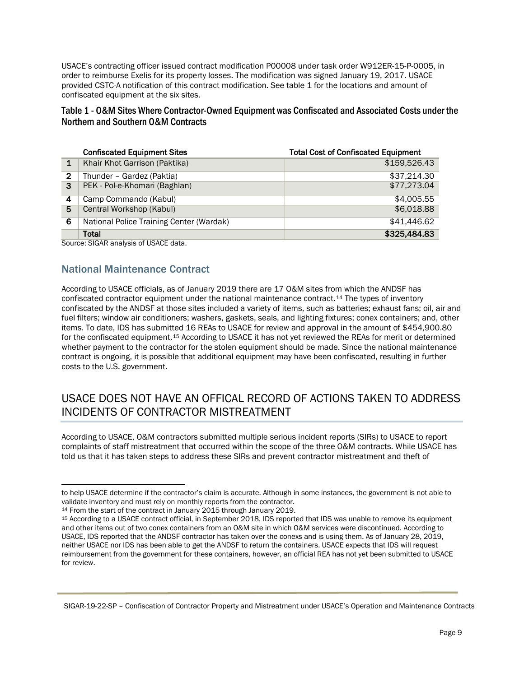USACE's contracting officer issued contract modification P00008 under task order W912ER-15-P-0005, in order to reimburse Exelis for its property losses. The modification was signed January 19, 2017. USACE provided CSTC-A notification of this contract modification. See table 1 for the locations and amount of confiscated equipment at the six sites.

### Table 1 - O&M Sites Where Contractor-Owned Equipment was Confiscated and Associated Costs under the Northern and Southern O&M Contracts

|   | <b>Confiscated Equipment Sites</b>       | <b>Total Cost of Confiscated Equipment</b> |
|---|------------------------------------------|--------------------------------------------|
|   | Khair Khot Garrison (Paktika)            | \$159,526.43                               |
| 2 | Thunder - Gardez (Paktia)                | \$37,214.30                                |
| 3 | PEK - Pol-e-Khomari (Baghlan)            | \$77,273.04                                |
| 4 | Camp Commando (Kabul)                    | \$4.005.55                                 |
| 5 | Central Workshop (Kabul)                 | \$6,018.88                                 |
| 6 | National Police Training Center (Wardak) | \$41,446.62                                |
|   | Total                                    | \$325,484.83                               |

Source: SIGAR analysis of USACE data.

### National Maintenance Contract

According to USACE officials, as of January 2019 there are 17 O&M sites from which the ANDSF has confiscated contractor equipment under the national maintenance contract.<sup>[14](#page-7-0)</sup> The types of inventory confiscated by the ANDSF at those sites included a variety of items, such as batteries; exhaust fans; oil, air and fuel filters; window air conditioners; washers, gaskets, seals, and lighting fixtures; conex containers; and, other items. To date, IDS has submitted 16 REAs to USACE for review and approval in the amount of \$454,900.80 for the confiscated equipment.[15](#page-7-1) According to USACE it has not yet reviewed the REAs for merit or determined whether payment to the contractor for the stolen equipment should be made. Since the national maintenance contract is ongoing, it is possible that additional equipment may have been confiscated, resulting in further costs to the U.S. government.

## USACE DOES NOT HAVE AN OFFICAL RECORD OF ACTIONS TAKEN TO ADDRESS INCIDENTS OF CONTRACTOR MISTREATMENT

According to USACE, O&M contractors submitted multiple serious incident reports (SIRs) to USACE to report complaints of staff mistreatment that occurred within the scope of the three O&M contracts. While USACE has told us that it has taken steps to address these SIRs and prevent contractor mistreatment and theft of

 $\overline{a}$ to help USACE determine if the contractor's claim is accurate. Although in some instances, the government is not able to validate inventory and must rely on monthly reports from the contractor.<br><sup>14</sup> From the start of the contract in January 2015 through January 2019.

<span id="page-7-0"></span>

<span id="page-7-1"></span><sup>&</sup>lt;sup>15</sup> According to a USACE contract official, in September 2018. IDS reported that IDS was unable to remove its equipment and other items out of two conex containers from an O&M site in which O&M services were discontinued. According to USACE, IDS reported that the ANDSF contractor has taken over the conexs and is using them. As of January 28, 2019, neither USACE nor IDS has been able to get the ANDSF to return the containers. USACE expects that IDS will request reimbursement from the government for these containers, however, an official REA has not yet been submitted to USACE for review.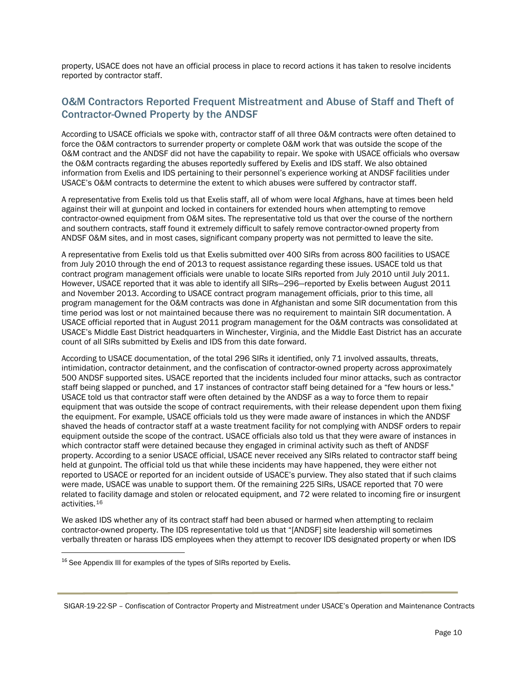property, USACE does not have an official process in place to record actions it has taken to resolve incidents reported by contractor staff.

## O&M Contractors Reported Frequent Mistreatment and Abuse of Staff and Theft of Contractor-Owned Property by the ANDSF

According to USACE officials we spoke with, contractor staff of all three O&M contracts were often detained to force the O&M contractors to surrender property or complete O&M work that was outside the scope of the O&M contract and the ANDSF did not have the capability to repair. We spoke with USACE officials who oversaw the O&M contracts regarding the abuses reportedly suffered by Exelis and IDS staff. We also obtained information from Exelis and IDS pertaining to their personnel's experience working at ANDSF facilities under USACE's O&M contracts to determine the extent to which abuses were suffered by contractor staff.

A representative from Exelis told us that Exelis staff, all of whom were local Afghans, have at times been held against their will at gunpoint and locked in containers for extended hours when attempting to remove contractor-owned equipment from O&M sites. The representative told us that over the course of the northern and southern contracts, staff found it extremely difficult to safely remove contractor-owned property from ANDSF O&M sites, and in most cases, significant company property was not permitted to leave the site.

A representative from Exelis told us that Exelis submitted over 400 SIRs from across 800 facilities to USACE from July 2010 through the end of 2013 to request assistance regarding these issues. USACE told us that contract program management officials were unable to locate SIRs reported from July 2010 until July 2011. However, USACE reported that it was able to identify all SIRs—296—reported by Exelis between August 2011 and November 2013. According to USACE contract program management officials, prior to this time, all program management for the O&M contracts was done in Afghanistan and some SIR documentation from this time period was lost or not maintained because there was no requirement to maintain SIR documentation. A USACE official reported that in August 2011 program management for the O&M contracts was consolidated at USACE's Middle East District headquarters in Winchester, Virginia, and the Middle East District has an accurate count of all SIRs submitted by Exelis and IDS from this date forward.

According to USACE documentation, of the total 296 SIRs it identified, only 71 involved assaults, threats, intimidation, contractor detainment, and the confiscation of contractor-owned property across approximately 500 ANDSF supported sites. USACE reported that the incidents included four minor attacks, such as contractor staff being slapped or punched, and 17 instances of contractor staff being detained for a "few hours or less." USACE told us that contractor staff were often detained by the ANDSF as a way to force them to repair equipment that was outside the scope of contract requirements, with their release dependent upon them fixing the equipment. For example, USACE officials told us they were made aware of instances in which the ANDSF shaved the heads of contractor staff at a waste treatment facility for not complying with ANDSF orders to repair equipment outside the scope of the contract. USACE officials also told us that they were aware of instances in which contractor staff were detained because they engaged in criminal activity such as theft of ANDSF property. According to a senior USACE official, USACE never received any SIRs related to contractor staff being held at gunpoint. The official told us that while these incidents may have happened, they were either not reported to USACE or reported for an incident outside of USACE's purview. They also stated that if such claims were made, USACE was unable to support them. Of the remaining 225 SIRs, USACE reported that 70 were related to facility damage and stolen or relocated equipment, and 72 were related to incoming fire or insurgent activities.[16](#page-8-0)

We asked IDS whether any of its contract staff had been abused or harmed when attempting to reclaim contractor-owned property. The IDS representative told us that "[ANDSF] site leadership will sometimes verbally threaten or harass IDS employees when they attempt to recover IDS designated property or when IDS

l

<span id="page-8-0"></span><sup>&</sup>lt;sup>16</sup> See Appendix III for examples of the types of SIRs reported by Exelis.

SIGAR-19-22-SP – Confiscation of Contractor Property and Mistreatment under USACE's Operation and Maintenance Contracts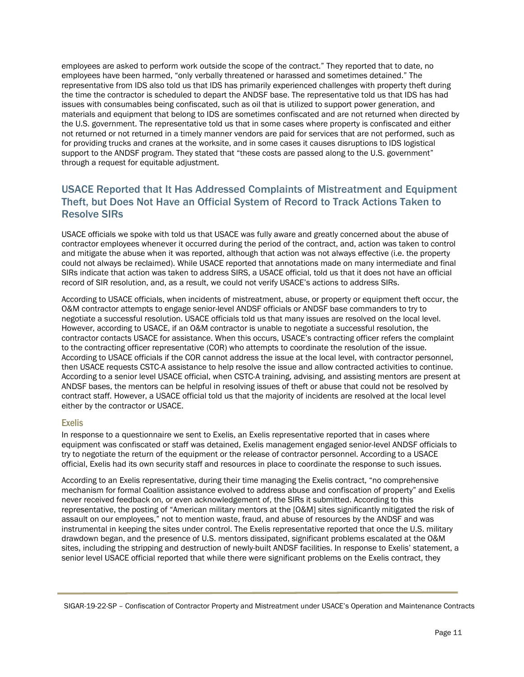employees are asked to perform work outside the scope of the contract." They reported that to date, no employees have been harmed, "only verbally threatened or harassed and sometimes detained." The representative from IDS also told us that IDS has primarily experienced challenges with property theft during the time the contractor is scheduled to depart the ANDSF base. The representative told us that IDS has had issues with consumables being confiscated, such as oil that is utilized to support power generation, and materials and equipment that belong to IDS are sometimes confiscated and are not returned when directed by the U.S. government. The representative told us that in some cases where property is confiscated and either not returned or not returned in a timely manner vendors are paid for services that are not performed, such as for providing trucks and cranes at the worksite, and in some cases it causes disruptions to IDS logistical support to the ANDSF program. They stated that "these costs are passed along to the U.S. government" through a request for equitable adjustment.

## USACE Reported that It Has Addressed Complaints of Mistreatment and Equipment Theft, but Does Not Have an Official System of Record to Track Actions Taken to Resolve SIRs

USACE officials we spoke with told us that USACE was fully aware and greatly concerned about the abuse of contractor employees whenever it occurred during the period of the contract, and, action was taken to control and mitigate the abuse when it was reported, although that action was not always effective (i.e. the property could not always be reclaimed). While USACE reported that annotations made on many intermediate and final SIRs indicate that action was taken to address SIRS, a USACE official, told us that it does not have an official record of SIR resolution, and, as a result, we could not verify USACE's actions to address SIRs.

According to USACE officials, when incidents of mistreatment, abuse, or property or equipment theft occur, the O&M contractor attempts to engage senior-level ANDSF officials or ANDSF base commanders to try to negotiate a successful resolution. USACE officials told us that many issues are resolved on the local level. However, according to USACE, if an O&M contractor is unable to negotiate a successful resolution, the contractor contacts USACE for assistance. When this occurs, USACE's contracting officer refers the complaint to the contracting officer representative (COR) who attempts to coordinate the resolution of the issue. According to USACE officials if the COR cannot address the issue at the local level, with contractor personnel, then USACE requests CSTC-A assistance to help resolve the issue and allow contracted activities to continue. According to a senior level USACE official, when CSTC-A training, advising, and assisting mentors are present at ANDSF bases, the mentors can be helpful in resolving issues of theft or abuse that could not be resolved by contract staff. However, a USACE official told us that the majority of incidents are resolved at the local level either by the contractor or USACE.

#### Exelis

In response to a questionnaire we sent to Exelis, an Exelis representative reported that in cases where equipment was confiscated or staff was detained, Exelis management engaged senior-level ANDSF officials to try to negotiate the return of the equipment or the release of contractor personnel. According to a USACE official, Exelis had its own security staff and resources in place to coordinate the response to such issues.

According to an Exelis representative, during their time managing the Exelis contract, "no comprehensive mechanism for formal Coalition assistance evolved to address abuse and confiscation of property" and Exelis never received feedback on, or even acknowledgement of, the SIRs it submitted. According to this representative, the posting of "American military mentors at the [O&M] sites significantly mitigated the risk of assault on our employees," not to mention waste, fraud, and abuse of resources by the ANDSF and was instrumental in keeping the sites under control. The Exelis representative reported that once the U.S. military drawdown began, and the presence of U.S. mentors dissipated, significant problems escalated at the O&M sites, including the stripping and destruction of newly-built ANDSF facilities. In response to Exelis' statement, a senior level USACE official reported that while there were significant problems on the Exelis contract, they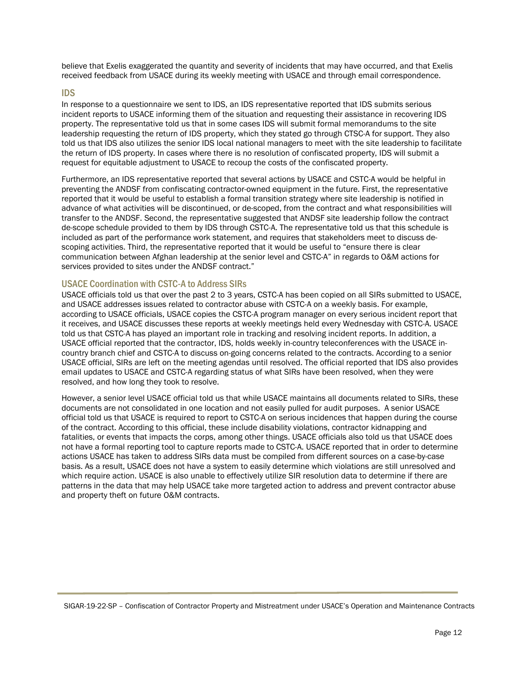believe that Exelis exaggerated the quantity and severity of incidents that may have occurred, and that Exelis received feedback from USACE during its weekly meeting with USACE and through email correspondence.

#### IDS

In response to a questionnaire we sent to IDS, an IDS representative reported that IDS submits serious incident reports to USACE informing them of the situation and requesting their assistance in recovering IDS property. The representative told us that in some cases IDS will submit formal memorandums to the site leadership requesting the return of IDS property, which they stated go through CTSC-A for support. They also told us that IDS also utilizes the senior IDS local national managers to meet with the site leadership to facilitate the return of IDS property. In cases where there is no resolution of confiscated property, IDS will submit a request for equitable adjustment to USACE to recoup the costs of the confiscated property.

Furthermore, an IDS representative reported that several actions by USACE and CSTC-A would be helpful in preventing the ANDSF from confiscating contractor-owned equipment in the future. First, the representative reported that it would be useful to establish a formal transition strategy where site leadership is notified in advance of what activities will be discontinued, or de-scoped, from the contract and what responsibilities will transfer to the ANDSF. Second, the representative suggested that ANDSF site leadership follow the contract de-scope schedule provided to them by IDS through CSTC-A. The representative told us that this schedule is included as part of the performance work statement, and requires that stakeholders meet to discuss descoping activities. Third, the representative reported that it would be useful to "ensure there is clear communication between Afghan leadership at the senior level and CSTC-A" in regards to O&M actions for services provided to sites under the ANDSF contract."

#### USACE Coordination with CSTC-A to Address SIRs

USACE officials told us that over the past 2 to 3 years, CSTC-A has been copied on all SIRs submitted to USACE, and USACE addresses issues related to contractor abuse with CSTC-A on a weekly basis. For example, according to USACE officials, USACE copies the CSTC-A program manager on every serious incident report that it receives, and USACE discusses these reports at weekly meetings held every Wednesday with CSTC-A. USACE told us that CSTC-A has played an important role in tracking and resolving incident reports. In addition, a USACE official reported that the contractor, IDS, holds weekly in-country teleconferences with the USACE incountry branch chief and CSTC-A to discuss on-going concerns related to the contracts. According to a senior USACE official, SIRs are left on the meeting agendas until resolved. The official reported that IDS also provides email updates to USACE and CSTC-A regarding status of what SIRs have been resolved, when they were resolved, and how long they took to resolve.

However, a senior level USACE official told us that while USACE maintains all documents related to SIRs, these documents are not consolidated in one location and not easily pulled for audit purposes. A senior USACE official told us that USACE is required to report to CSTC-A on serious incidences that happen during the course of the contract. According to this official, these include disability violations, contractor kidnapping and fatalities, or events that impacts the corps, among other things. USACE officials also told us that USACE does not have a formal reporting tool to capture reports made to CSTC-A. USACE reported that in order to determine actions USACE has taken to address SIRs data must be compiled from different sources on a case-by-case basis. As a result, USACE does not have a system to easily determine which violations are still unresolved and which require action. USACE is also unable to effectively utilize SIR resolution data to determine if there are patterns in the data that may help USACE take more targeted action to address and prevent contractor abuse and property theft on future O&M contracts.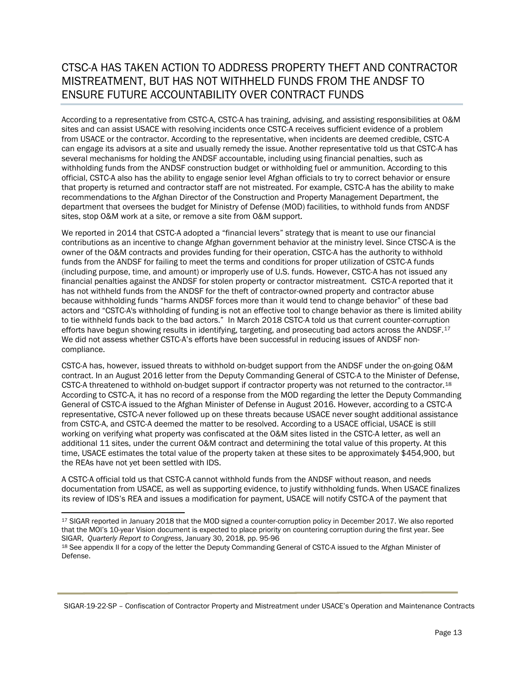## CTSC-A HAS TAKEN ACTION TO ADDRESS PROPERTY THEFT AND CONTRACTOR MISTREATMENT, BUT HAS NOT WITHHELD FUNDS FROM THE ANDSF TO ENSURE FUTURE ACCOUNTABILITY OVER CONTRACT FUNDS

According to a representative from CSTC-A, CSTC-A has training, advising, and assisting responsibilities at O&M sites and can assist USACE with resolving incidents once CSTC-A receives sufficient evidence of a problem from USACE or the contractor. According to the representative, when incidents are deemed credible, CSTC-A can engage its advisors at a site and usually remedy the issue. Another representative told us that CSTC-A has several mechanisms for holding the ANDSF accountable, including using financial penalties, such as withholding funds from the ANDSF construction budget or withholding fuel or ammunition. According to this official, CSTC-A also has the ability to engage senior level Afghan officials to try to correct behavior or ensure that property is returned and contractor staff are not mistreated. For example, CSTC-A has the ability to make recommendations to the Afghan Director of the Construction and Property Management Department, the department that oversees the budget for Ministry of Defense (MOD) facilities, to withhold funds from ANDSF sites, stop O&M work at a site, or remove a site from O&M support.

We reported in 2014 that CSTC-A adopted a "financial levers" strategy that is meant to use our financial contributions as an incentive to change Afghan government behavior at the ministry level. Since CTSC-A is the owner of the O&M contracts and provides funding for their operation, CSTC-A has the authority to withhold funds from the ANDSF for failing to meet the terms and conditions for proper utilization of CSTC-A funds (including purpose, time, and amount) or improperly use of U.S. funds. However, CSTC-A has not issued any financial penalties against the ANDSF for stolen property or contractor mistreatment. CSTC-A reported that it has not withheld funds from the ANDSF for the theft of contractor-owned property and contractor abuse because withholding funds "harms ANDSF forces more than it would tend to change behavior" of these bad actors and "CSTC-A's withholding of funding is not an effective tool to change behavior as there is limited ability to tie withheld funds back to the bad actors." In March 2018 CSTC-A told us that current counter-corruption efforts have begun showing results in identifying, targeting, and prosecuting bad actors across the ANDSF.<sup>17</sup> We did not assess whether CSTC-A's efforts have been successful in reducing issues of ANDSF noncompliance.

CSTC-A has, however, issued threats to withhold on-budget support from the ANDSF under the on-going O&M contract. In an August 2016 letter from the Deputy Commanding General of CSTC-A to the Minister of Defense, CSTC-A threatened to withhold on-budget support if contractor property was not returned to the contractor.<sup>[18](#page-11-1)</sup> According to CSTC-A, it has no record of a response from the MOD regarding the letter the Deputy Commanding General of CSTC-A issued to the Afghan Minister of Defense in August 2016. However, according to a CSTC-A representative, CSTC-A never followed up on these threats because USACE never sought additional assistance from CSTC-A, and CSTC-A deemed the matter to be resolved. According to a USACE official, USACE is still working on verifying what property was confiscated at the O&M sites listed in the CSTC-A letter, as well an additional 11 sites, under the current O&M contract and determining the total value of this property. At this time, USACE estimates the total value of the property taken at these sites to be approximately \$454,900, but the REAs have not yet been settled with IDS.

A CSTC-A official told us that CSTC-A cannot withhold funds from the ANDSF without reason, and needs documentation from USACE, as well as supporting evidence, to justify withholding funds. When USACE finalizes its review of IDS's REA and issues a modification for payment, USACE will notify CSTC-A of the payment that

<span id="page-11-0"></span> $\overline{\phantom{a}}$ <sup>17</sup> SIGAR reported in January 2018 that the MOD signed a counter-corruption policy in December 2017. We also reported that the MOI's 10-year Vision document is expected to place priority on countering corruption during the first year. See<br>SIGAR, Quarterly Report to Congress, January 30, 2018, pp. 95-96

<span id="page-11-1"></span><sup>18</sup> See appendix II for a copy of the letter the Deputy Commanding General of CSTC-A issued to the Afghan Minister of Defense.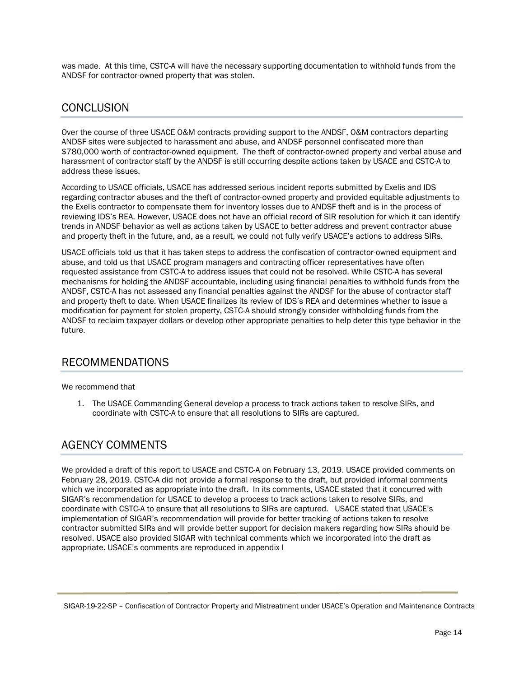was made. At this time, CSTC-A will have the necessary supporting documentation to withhold funds from the ANDSF for contractor-owned property that was stolen.

## **CONCLUSION**

Over the course of three USACE O&M contracts providing support to the ANDSF, O&M contractors departing ANDSF sites were subjected to harassment and abuse, and ANDSF personnel confiscated more than \$780,000 worth of contractor-owned equipment. The theft of contractor-owned property and verbal abuse and harassment of contractor staff by the ANDSF is still occurring despite actions taken by USACE and CSTC-A to address these issues.

According to USACE officials, USACE has addressed serious incident reports submitted by Exelis and IDS regarding contractor abuses and the theft of contractor-owned property and provided equitable adjustments to the Exelis contractor to compensate them for inventory losses due to ANDSF theft and is in the process of reviewing IDS's REA. However, USACE does not have an official record of SIR resolution for which it can identify trends in ANDSF behavior as well as actions taken by USACE to better address and prevent contractor abuse and property theft in the future, and, as a result, we could not fully verify USACE's actions to address SIRs.

USACE officials told us that it has taken steps to address the confiscation of contractor-owned equipment and abuse, and told us that USACE program managers and contracting officer representatives have often requested assistance from CSTC-A to address issues that could not be resolved. While CSTC-A has several mechanisms for holding the ANDSF accountable, including using financial penalties to withhold funds from the ANDSF, CSTC-A has not assessed any financial penalties against the ANDSF for the abuse of contractor staff and property theft to date. When USACE finalizes its review of IDS's REA and determines whether to issue a modification for payment for stolen property, CSTC-A should strongly consider withholding funds from the ANDSF to reclaim taxpayer dollars or develop other appropriate penalties to help deter this type behavior in the future.

## RECOMMENDATIONS

#### We recommend that

1. The USACE Commanding General develop a process to track actions taken to resolve SIRs, and coordinate with CSTC-A to ensure that all resolutions to SIRs are captured.

## AGENCY COMMENTS

We provided a draft of this report to USACE and CSTC-A on February 13, 2019. USACE provided comments on February 28, 2019. CSTC-A did not provide a formal response to the draft, but provided informal comments which we incorporated as appropriate into the draft. In its comments, USACE stated that it concurred with SIGAR's recommendation for USACE to develop a process to track actions taken to resolve SIRs, and coordinate with CSTC-A to ensure that all resolutions to SIRs are captured. USACE stated that USACE's implementation of SIGAR's recommendation will provide for better tracking of actions taken to resolve contractor submitted SIRs and will provide better support for decision makers regarding how SIRs should be resolved. USACE also provided SIGAR with technical comments which we incorporated into the draft as appropriate. USACE's comments are reproduced in appendix I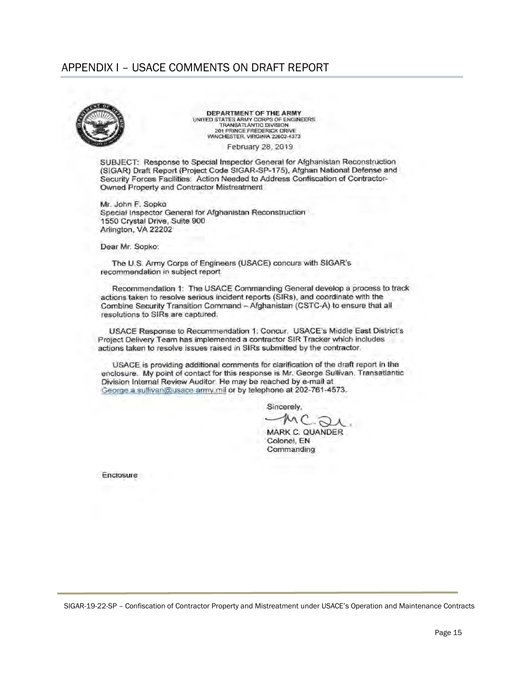## APPENDIX I - USACE COMMENTS ON DRAFT REPORT



DEPARTMENT OF THE ARMY UNITED STATES ARMY CORPS OF ENGINEERS<br>TRANSATLANTIC DIVISION 201 PRINCE FREDERICK DRIVE<br>WINCHESTER, VIRGINIA 22602-4373

February 28, 2019

SUBJECT: Response to Special Inspector General for Afghanistan Reconstruction (SIGAR) Draft Report (Project Code SIGAR-SP-175), Afghan National Defense and Security Forces Facilities: Action Needed to Address Confiscation of Contractor-Owned Property and Contractor Mistreatment

Mr. John F. Sopko Special Inspector General for Afghanistan Reconstruction 1550 Crystal Drive, Suite 900 Arlington, VA 22202

Dear Mr. Sopko:

The U.S. Army Corps of Engineers (USACE) concurs with SIGAR's recommendation in subject report.

Recommendation 1: The USACE Commanding General develop a process to track actions taken to resolve serious incident reports (SIRs), and coordinate with the Combine Security Transition Command - Afghanistan (CSTC-A) to ensure that all resolutions to SIRs are captured.

USACE Response to Recommendation 1: Concur. USACE's Middle East District's Project Delivery Team has implemented a contractor SIR Tracker which includes actions taken to resolve issues raised in SIRs submitted by the contractor.

USACE is providing additional comments for clarification of the draft report in the enclosure. My point of contact for this response is Mr. George Sullivan. Transatlantic Division Internal Review Auditor. He may be reached by e-mail at George a sullivan@usace army.mil or by telephone at 202-761-4573.

Sincerely,

MARK C. QUANDER Colonel, EN Commanding

Enclosure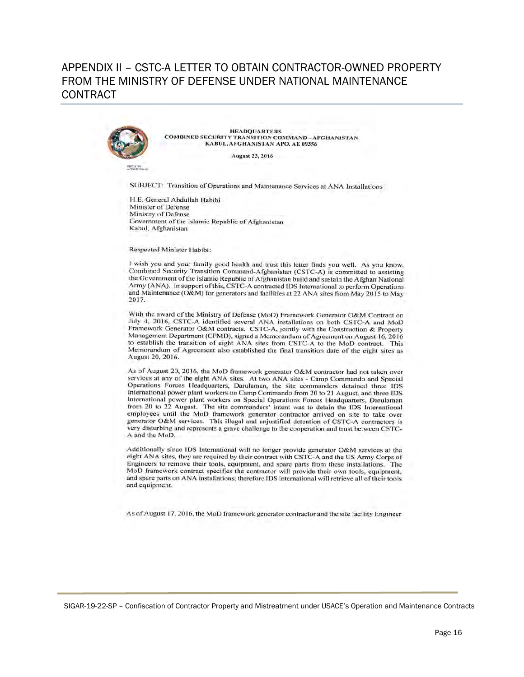## APPENDIX II – CSTC-A I FTTER TO OBTAIN CONTRACTOR-OWNED PROPERTY FROM THE MINISTRY OF DEFENSE UNDER NATIONAL MAINTENANCE **CONTRACT**



**HEADQUARTERS COMBINED SECURITY TRANSITION COMMAND - AFGHANISTAN** KABUL, AFGHANISTAN APO, AE 09356

**August 23, 2016** 

**HAPLE TO** 

SUBJECT: Transition of Operations and Maintenance Services at ANA Installations

H.E. General Abdullah Habibi Minister of Defense Ministry of Defense Government of the Islamic Republic of Afghanistan Kabul, Afghanistan

#### Respected Minister Habibi:

I wish you and your family good health and trust this letter finds you well. As you know, Combined Security Transition Command-Afghanistan (CSTC-A) is committed to assisting the Government of the Islamic Republic of Afghanistan build and sustain the Afghan National Army (ANA). In support of this, CSTC-A contracted IDS International to perform Operations and Maintenance (O&M) for generators and facilities at 22 ANA sites from May 2015 to May 2017.

With the award of the Ministry of Defense (MoD) Framework Generator O&M Contract on July 4, 2016, CSTC-A identified several ANA installations on both CSTC-A and MoD<br>Framework Generator O&M contracts. CSTC-A, jointly with the Construction & Property Management Department (CPMD), signed a Memorandum of Agreement on August 16, 2016 to establish the transition of eight ANA sites from CSTC-A to the MoD contract. This Memorandum of Agreement also established the final transition date of the eight sites as August 20, 2016.

As of August 20, 2016, the MoD framework generator O&M contractor had not taken over services at any of the eight ANA sites. At two ANA sites - Camp Commando and Special Operations Forces Headquarters, Darulaman, the site commanders detained three IDS International power plant workers on Camp Commando from 20 to 21 August, and three IDS International power plant workers on Special Operations Forces Headquarters, Darulaman from 20 to 22 August. The site commanders' intent was to detain the IDS International employees until the MoD framework generator contractor arrived on site to take over generator O&M services. This illegal and unjustified detention of CSTC-A contractors is very disturbing and represents a grave challenge to the cooperation and trust between CSTC-A and the MoD.

Additionally since IDS International will no longer provide generator O&M services at the eight ANA sites, they are required by their contract with CSTC-A and the US Army Corps of Engineers to remove their tools, equipment, and spare parts from these installations. The MoD framework contract specifies the contractor will provide their own tools, equipment, and spare parts on ANA installations; therefore IDS international will retrieve all of their tools and equipment.

As of August 17, 2016, the MoD framework generator contractor and the site facility Engineer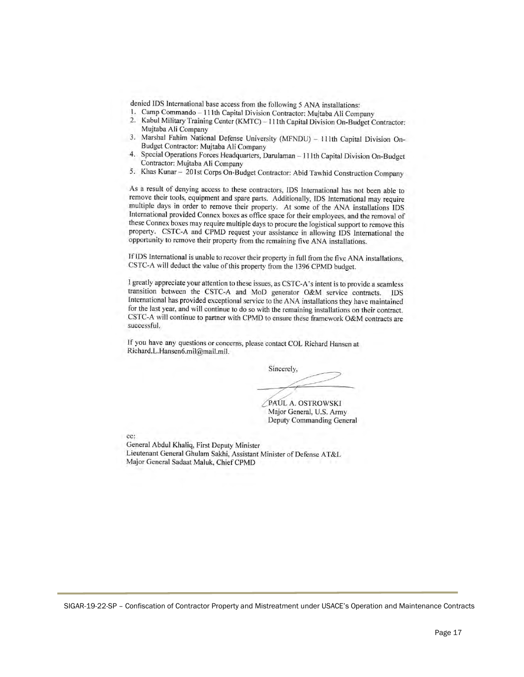denied IDS International base access from the following 5 ANA installations:

- 1. Camp Commando 111th Capital Division Contractor: Mujtaba Ali Company
- Kabul Military Training Center (KMTC) 111th Capital Division On-Budget Contractor:  $2.$ Mujtaba Ali Company
- 3. Marshal Fahim National Defense University (MFNDU) - 111th Capital Division On-Budget Contractor: Mujtaba Ali Company
- $4.$ Special Operations Forces Headquarters, Darulaman - 111th Capital Division On-Budget Contractor: Mujtaba Ali Company
- Khas Kunar 201st Corps On-Budget Contractor: Abid Tawhid Construction Company 5.

As a result of denying access to these contractors, IDS International has not been able to remove their tools, equipment and spare parts. Additionally, IDS International may require multiple days in order to remove their property. At some of the ANA installations IDS International provided Connex boxes as office space for their employees, and the removal of these Connex boxes may require multiple days to procure the logistical support to remove this property. CSTC-A and CPMD request your assistance in allowing IDS International the opportunity to remove their property from the remaining five ANA installations.

If IDS International is unable to recover their property in full from the five ANA installations, CSTC-A will deduct the value of this property from the 1396 CPMD budget.

I greatly appreciate your attention to these issues, as CSTC-A's intent is to provide a seamless transition between the CSTC-A and MoD generator O&M service contracts. IDS International has provided exceptional service to the ANA installations they have maintained for the last year, and will continue to do so with the remaining installations on their contract. CSTC-A will continue to partner with CPMD to ensure these framework O&M contracts are successful.

If you have any questions or concerns, please contact COL Richard Hansen at Richard.L.Hansen6.mil@mail.mil.

Sincerely,

PAUL A. OSTROWSKI Major General, U.S. Army Deputy Commanding General

cc:

General Abdul Khaliq, First Deputy Minister Lieutenant General Ghulam Sakhi, Assistant Minister of Defense AT&L Major General Sadaat Maluk, Chief CPMD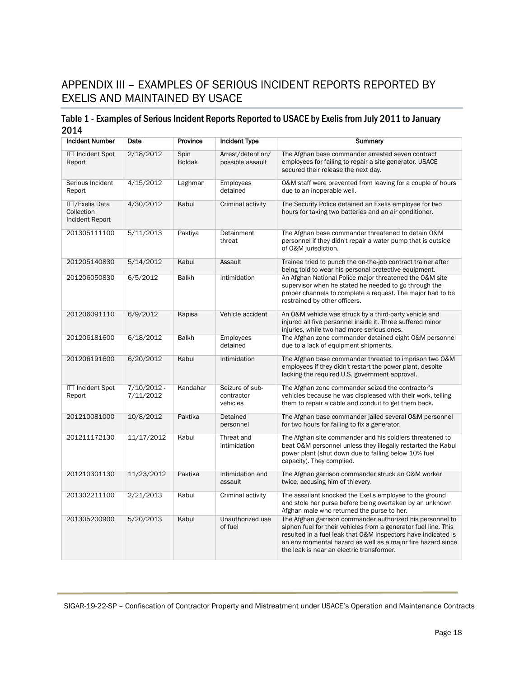# APPENDIX III – EXAMPLES OF SERIOUS INCIDENT REPORTS REPORTED BY EXELIS AND MAINTAINED BY USACE

## Table 1 - Examples of Serious Incident Reports Reported to USACE by Exelis from July 2011 to January 2014

| <b>Incident Number</b>                                  | Date                       | Province              | <b>Incident Type</b>                      | Summary                                                                                                                                                                                                                                                                                                    |
|---------------------------------------------------------|----------------------------|-----------------------|-------------------------------------------|------------------------------------------------------------------------------------------------------------------------------------------------------------------------------------------------------------------------------------------------------------------------------------------------------------|
| <b>ITT Incident Spot</b><br>Report                      | 2/18/2012                  | Spin<br><b>Boldak</b> | Arrest/detention/<br>possible assault     | The Afghan base commander arrested seven contract<br>employees for failing to repair a site generator. USACE<br>secured their release the next day.                                                                                                                                                        |
| Serious Incident<br>Report                              | 4/15/2012                  | Laghman               | Employees<br>detained                     | 0&M staff were prevented from leaving for a couple of hours<br>due to an inoperable well.                                                                                                                                                                                                                  |
| <b>ITT/Exelis Data</b><br>Collection<br>Incident Report | 4/30/2012                  | Kabul                 | Criminal activity                         | The Security Police detained an Exelis employee for two<br>hours for taking two batteries and an air conditioner.                                                                                                                                                                                          |
| 201305111100                                            | 5/11/2013                  | Paktiya               | Detainment<br>threat                      | The Afghan base commander threatened to detain O&M<br>personnel if they didn't repair a water pump that is outside<br>of O&M jurisdiction.                                                                                                                                                                 |
| 201205140830                                            | 5/14/2012                  | Kabul                 | Assault                                   | Trainee tried to punch the on-the-job contract trainer after<br>being told to wear his personal protective equipment.                                                                                                                                                                                      |
| 201206050830                                            | 6/5/2012                   | <b>Balkh</b>          | Intimidation                              | An Afghan National Police major threatened the O&M site<br>supervisor when he stated he needed to go through the<br>proper channels to complete a request. The major had to be<br>restrained by other officers.                                                                                            |
| 201206091110                                            | 6/9/2012                   | Kapisa                | Vehicle accident                          | An O&M vehicle was struck by a third-party vehicle and<br>injured all five personnel inside it. Three suffered minor<br>injuries, while two had more serious ones.                                                                                                                                         |
| 201206181600                                            | 6/18/2012                  | <b>Balkh</b>          | Employees<br>detained                     | The Afghan zone commander detained eight O&M personnel<br>due to a lack of equipment shipments.                                                                                                                                                                                                            |
| 201206191600                                            | 6/20/2012                  | Kabul                 | Intimidation                              | The Afghan base commander threated to imprison two O&M<br>employees if they didn't restart the power plant, despite<br>lacking the required U.S. government approval.                                                                                                                                      |
| <b>ITT Incident Spot</b><br>Report                      | $7/10/2012 -$<br>7/11/2012 | Kandahar              | Seizure of sub-<br>contractor<br>vehicles | The Afghan zone commander seized the contractor's<br>vehicles because he was displeased with their work, telling<br>them to repair a cable and conduit to get them back.                                                                                                                                   |
| 201210081000                                            | 10/8/2012                  | Paktika               | Detained<br>personnel                     | The Afghan base commander jailed several O&M personnel<br>for two hours for failing to fix a generator.                                                                                                                                                                                                    |
| 201211172130                                            | 11/17/2012                 | Kabul                 | Threat and<br>intimidation                | The Afghan site commander and his soldiers threatened to<br>beat O&M personnel unless they illegally restarted the Kabul<br>power plant (shut down due to falling below 10% fuel<br>capacity). They complied.                                                                                              |
| 201210301130                                            | 11/23/2012                 | Paktika               | Intimidation and<br>assault               | The Afghan garrison commander struck an O&M worker<br>twice, accusing him of thievery.                                                                                                                                                                                                                     |
| 201302211100                                            | 2/21/2013                  | Kabul                 | Criminal activity                         | The assailant knocked the Exelis employee to the ground<br>and stole her purse before being overtaken by an unknown<br>Afghan male who returned the purse to her.                                                                                                                                          |
| 201305200900                                            | 5/20/2013                  | Kabul                 | Unauthorized use<br>of fuel               | The Afghan garrison commander authorized his personnel to<br>siphon fuel for their vehicles from a generator fuel line. This<br>resulted in a fuel leak that O&M inspectors have indicated is<br>an environmental hazard as well as a major fire hazard since<br>the leak is near an electric transformer. |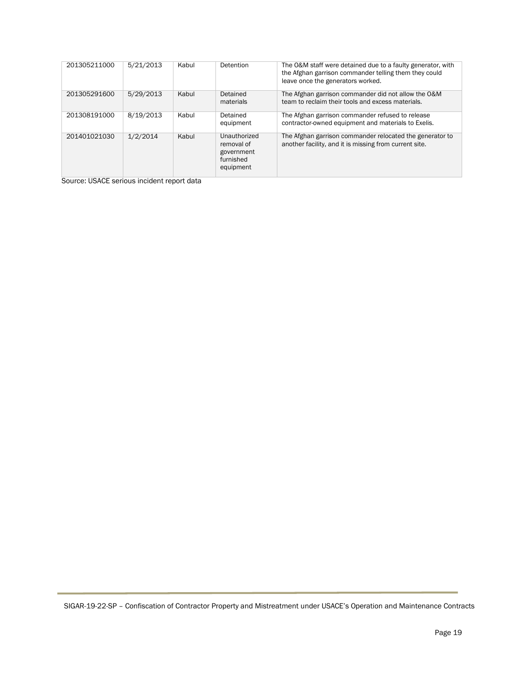| 201305211000 | 5/21/2013 | Kabul | Detention                                                          | The O&M staff were detained due to a faulty generator, with<br>the Afghan garrison commander telling them they could<br>leave once the generators worked. |
|--------------|-----------|-------|--------------------------------------------------------------------|-----------------------------------------------------------------------------------------------------------------------------------------------------------|
| 201305291600 | 5/29/2013 | Kabul | Detained<br>materials                                              | The Afghan garrison commander did not allow the O&M<br>team to reclaim their tools and excess materials.                                                  |
| 201308191000 | 8/19/2013 | Kabul | Detained<br>equipment                                              | The Afghan garrison commander refused to release<br>contractor-owned equipment and materials to Exelis.                                                   |
| 201401021030 | 1/2/2014  | Kabul | Unauthorized<br>removal of<br>government<br>furnished<br>equipment | The Afghan garrison commander relocated the generator to<br>another facility, and it is missing from current site.                                        |

Source: USACE serious incident report data